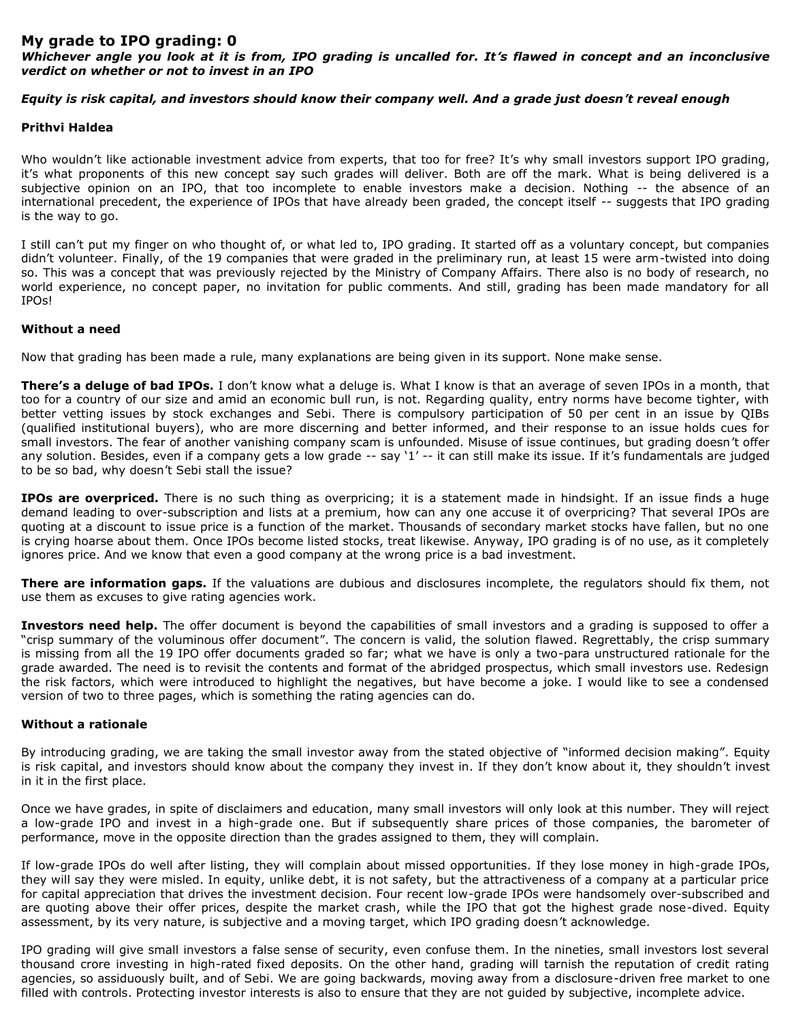# **My grade to IPO grading: 0**

*Whichever angle you look at it is from, IPO grading is uncalled for. It's flawed in concept and an inconclusive verdict on whether or not to invest in an IPO*

# *Equity is risk capital, and investors should know their company well. And a grade just doesn't reveal enough*

# **Prithvi Haldea**

Who wouldn't like actionable investment advice from experts, that too for free? It's why small investors support IPO grading, it's what proponents of this new concept say such grades will deliver. Both are off the mark. What is being delivered is a subjective opinion on an IPO, that too incomplete to enable investors make a decision. Nothing -- the absence of an international precedent, the experience of IPOs that have already been graded, the concept itself -- suggests that IPO grading is the way to go.

I still can't put my finger on who thought of, or what led to, IPO grading. It started off as a voluntary concept, but companies didn't volunteer. Finally, of the 19 companies that were graded in the preliminary run, at least 15 were arm-twisted into doing so. This was a concept that was previously rejected by the Ministry of Company Affairs. There also is no body of research, no world experience, no concept paper, no invitation for public comments. And still, grading has been made mandatory for all IPOs!

## **Without a need**

Now that grading has been made a rule, many explanations are being given in its support. None make sense.

**There's a deluge of bad IPOs.** I don't know what a deluge is. What I know is that an average of seven IPOs in a month, that too for a country of our size and amid an economic bull run, is not. Regarding quality, entry norms have become tighter, with better vetting issues by stock exchanges and Sebi. There is compulsory participation of 50 per cent in an issue by QIBs (qualified institutional buyers), who are more discerning and better informed, and their response to an issue holds cues for small investors. The fear of another vanishing company scam is unfounded. Misuse of issue continues, but grading doesn't offer any solution. Besides, even if a company gets a low grade -- say '1' -- it can still make its issue. If it's fundamentals are judged to be so bad, why doesn't Sebi stall the issue?

**IPOs are overpriced.** There is no such thing as overpricing; it is a statement made in hindsight. If an issue finds a huge demand leading to over-subscription and lists at a premium, how can any one accuse it of overpricing? That several IPOs are quoting at a discount to issue price is a function of the market. Thousands of secondary market stocks have fallen, but no one is crying hoarse about them. Once IPOs become listed stocks, treat likewise. Anyway, IPO grading is of no use, as it completely ignores price. And we know that even a good company at the wrong price is a bad investment.

**There are information gaps.** If the valuations are dubious and disclosures incomplete, the regulators should fix them, not use them as excuses to give rating agencies work.

**Investors need help.** The offer document is beyond the capabilities of small investors and a grading is supposed to offer a "crisp summary of the voluminous offer document". The concern is valid, the solution flawed. Regrettably, the crisp summary is missing from all the 19 IPO offer documents graded so far; what we have is only a two-para unstructured rationale for the grade awarded. The need is to revisit the contents and format of the abridged prospectus, which small investors use. Redesign the risk factors, which were introduced to highlight the negatives, but have become a joke. I would like to see a condensed version of two to three pages, which is something the rating agencies can do.

## **Without a rationale**

By introducing grading, we are taking the small investor away from the stated objective of "informed decision making". Equity is risk capital, and investors should know about the company they invest in. If they don't know about it, they shouldn't invest in it in the first place.

Once we have grades, in spite of disclaimers and education, many small investors will only look at this number. They will reject a low-grade IPO and invest in a high-grade one. But if subsequently share prices of those companies, the barometer of performance, move in the opposite direction than the grades assigned to them, they will complain.

If low-grade IPOs do well after listing, they will complain about missed opportunities. If they lose money in high-grade IPOs, they will say they were misled. In equity, unlike debt, it is not safety, but the attractiveness of a company at a particular price for capital appreciation that drives the investment decision. Four recent low-grade IPOs were handsomely over-subscribed and are quoting above their offer prices, despite the market crash, while the IPO that got the highest grade nose-dived. Equity assessment, by its very nature, is subjective and a moving target, which IPO grading doesn't acknowledge.

IPO grading will give small investors a false sense of security, even confuse them. In the nineties, small investors lost several thousand crore investing in high-rated fixed deposits. On the other hand, grading will tarnish the reputation of credit rating agencies, so assiduously built, and of Sebi. We are going backwards, moving away from a disclosure-driven free market to one filled with controls. Protecting investor interests is also to ensure that they are not guided by subjective, incomplete advice.